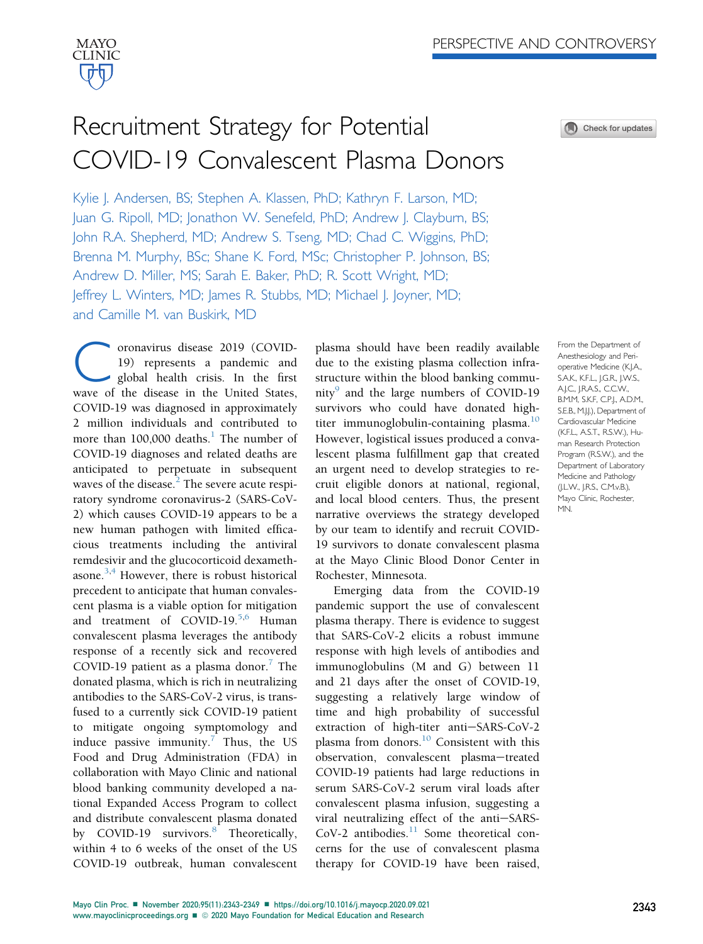# Recruitment Strategy for Potential COVID-19 Convalescent Plasma Donors

Kylie J. Andersen, BS; Stephen A. Klassen, PhD; Kathryn F. Larson, MD; Juan G. Ripoll, MD; Jonathon W. Senefeld, PhD; Andrew J. Clayburn, BS; John R.A. Shepherd, MD; Andrew S. Tseng, MD; Chad C. Wiggins, PhD; Brenna M. Murphy, BSc; Shane K. Ford, MSc; Christopher P. Johnson, BS; Andrew D. Miller, MS; Sarah E. Baker, PhD; R. Scott Wright, MD; Jeffrey L. Winters, MD; James R. Stubbs, MD; Michael J. Joyner, MD; and Camille M. van Buskirk, MD

oronavirus disease 2019 (COVID-19) represents a pandemic and global health crisis. In the first wave of the disease in the United States, COVID-19 was diagnosed in approximately 2 million individuals and contributed to more than  $100,000$  $100,000$  deaths.<sup>1</sup> The number of COVID-19 diagnoses and related deaths are anticipated to perpetuate in subsequent waves of the disease. $<sup>2</sup>$  $<sup>2</sup>$  $<sup>2</sup>$  The severe acute respi-</sup> ratory syndrome coronavirus-2 (SARS-CoV-2) which causes COVID-19 appears to be a new human pathogen with limited efficacious treatments including the antiviral remdesivir and the glucocorticoid dexameth-asone.<sup>[3](#page-6-2)[,4](#page-6-3)</sup> However, there is robust historical precedent to anticipate that human convalescent plasma is a viable option for mitigation and treatment of COVID-19.<sup>[5,](#page-6-4)[6](#page-6-5)</sup> Human convalescent plasma leverages the antibody response of a recently sick and recovered COVID-19 patient as a plasma donor.<sup>[7](#page-6-6)</sup> The donated plasma, which is rich in neutralizing antibodies to the SARS-CoV-2 virus, is transfused to a currently sick COVID-19 patient to mitigate ongoing symptomology and induce passive immunity.<sup>[7](#page-6-6)</sup> Thus, the US Food and Drug Administration (FDA) in collaboration with Mayo Clinic and national blood banking community developed a national Expanded Access Program to collect and distribute convalescent plasma donated by COVID-19 survivors.<sup>[8](#page-6-7)</sup> Theoretically, within 4 to 6 weeks of the onset of the US COVID-19 outbreak, human convalescent

plasma should have been readily available due to the existing plasma collection infrastructure within the blood banking community $9$  and the large numbers of COVID-19 survivors who could have donated high-titer immunoglobulin-containing plasma.<sup>[10](#page-6-9)</sup> However, logistical issues produced a convalescent plasma fulfillment gap that created an urgent need to develop strategies to recruit eligible donors at national, regional, and local blood centers. Thus, the present narrative overviews the strategy developed by our team to identify and recruit COVID-19 survivors to donate convalescent plasma at the Mayo Clinic Blood Donor Center in Rochester, Minnesota.

Emerging data from the COVID-19 pandemic support the use of convalescent plasma therapy. There is evidence to suggest that SARS-CoV-2 elicits a robust immune response with high levels of antibodies and immunoglobulins (M and G) between 11 and 21 days after the onset of COVID-19, suggesting a relatively large window of time and high probability of successful extraction of high-titer anti-SARS-CoV-2 plasma from donors.<sup>[10](#page-6-9)</sup> Consistent with this observation, convalescent plasma-treated COVID-19 patients had large reductions in serum SARS-CoV-2 serum viral loads after convalescent plasma infusion, suggesting a viral neutralizing effect of the anti-SARS-CoV-2 antibodies. $11$  Some theoretical concerns for the use of convalescent plasma therapy for COVID-19 have been raised,

From the Department of Anesthesiology and Perioperative Medicine (K.J.A., S.A.K., K.F.L., J.G.R., J.W.S., A.J.C., J.R.A.S., C.C.W., B.M.M, S.K.F, C.P.J., A.D.M., S.E.B., M.J.J.), Department of Cardiovascular Medicine (K.F.L., A.S.T., R.S.W.), Human Research Protection Program (R.S.W.), and the Department of Laboratory Medicine and Pathology (J.L.W., J.R.S., C.M.v.B.), Mayo Clinic, Rochester, MN.

Check for updates

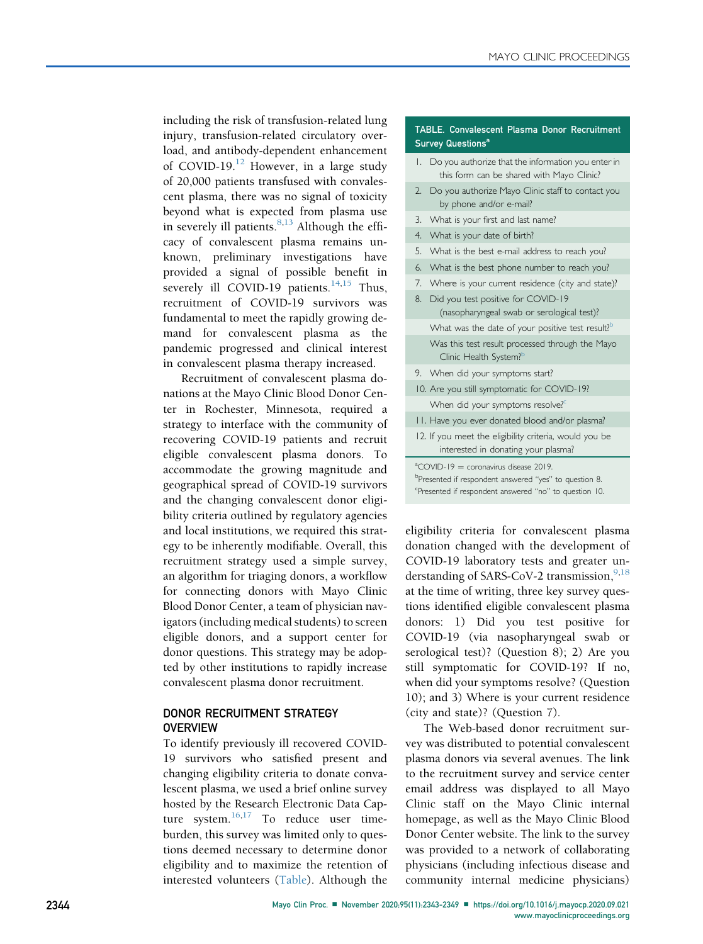including the risk of transfusion-related lung injury, transfusion-related circulatory overload, and antibody-dependent enhancement of COVID-19.<sup>[12](#page-6-11)</sup> However, in a large study of 20,000 patients transfused with convalescent plasma, there was no signal of toxicity beyond what is expected from plasma use in severely ill patients.  $8,13$  $8,13$  Although the efficacy of convalescent plasma remains unknown, preliminary investigations have provided a signal of possible benefit in severely ill COVID-19 patients.<sup>[14,](#page-6-13)[15](#page-6-14)</sup> Thus, recruitment of COVID-19 survivors was fundamental to meet the rapidly growing demand for convalescent plasma as the pandemic progressed and clinical interest in convalescent plasma therapy increased.

Recruitment of convalescent plasma donations at the Mayo Clinic Blood Donor Center in Rochester, Minnesota, required a strategy to interface with the community of recovering COVID-19 patients and recruit eligible convalescent plasma donors. To accommodate the growing magnitude and geographical spread of COVID-19 survivors and the changing convalescent donor eligibility criteria outlined by regulatory agencies and local institutions, we required this strategy to be inherently modifiable. Overall, this recruitment strategy used a simple survey, an algorithm for triaging donors, a workflow for connecting donors with Mayo Clinic Blood Donor Center, a team of physician navigators (including medical students) to screen eligible donors, and a support center for donor questions. This strategy may be adopted by other institutions to rapidly increase convalescent plasma donor recruitment.

# DONOR RECRUITMENT STRATEGY **OVERVIEW**

To identify previously ill recovered COVID-19 survivors who satisfied present and changing eligibility criteria to donate convalescent plasma, we used a brief online survey hosted by the Research Electronic Data Capture system. $16,17$  $16,17$  To reduce user timeburden, this survey was limited only to questions deemed necessary to determine donor eligibility and to maximize the retention of interested volunteers ([Table](#page-1-0)). Although the

#### <span id="page-1-0"></span>TABLE. Convalescent Plasma Donor Recruitment Survey Questions<sup>[a](#page-1-1)</sup>

- 1. Do you authorize that the information you enter in this form can be shared with Mayo Clinic?
- 2. Do you authorize Mayo Clinic staff to contact you by phone and/or e-mail?
- 3. What is your first and last name?
- 4. What is your date of birth?
- 5. What is the best e-mail address to reach you?
- 6. What is the best phone number to reach you?
- 7. Where is your current residence (city and state)?
- 8. Did you test positive for COVID-19 (nasopharyngeal swab or serological test)? What was the date of your positive test result? $b$ Was this test result processed through the Mayo Clinic Health System?<sup>b</sup> 9. When did your symptoms start? 10. Are you still symptomatic for COVID-19? When did your symptoms resolve?<sup>[c](#page-1-3)</sup>
- 11. Have you ever donated blood and/or plasma?
- 12. If you meet the eligibility criteria, would you be interested in donating your plasma?

<span id="page-1-1"></span> $^{\circ}$ COVID-19 = coronavirus disease 2019.

<span id="page-1-2"></span><sup>b</sup>Presented if respondent answered "yes" to question 8.

<span id="page-1-3"></span><sup>c</sup>Presented if respondent answered "no" to question 10.

eligibility criteria for convalescent plasma donation changed with the development of COVID-19 laboratory tests and greater un-derstanding of SARS-CoV-2 transmission,<sup>[9,](#page-6-8)[18](#page-6-17)</sup> at the time of writing, three key survey questions identified eligible convalescent plasma donors: 1) Did you test positive for COVID-19 (via nasopharyngeal swab or serological test)? (Question 8); 2) Are you still symptomatic for COVID-19? If no, when did your symptoms resolve? (Question 10); and 3) Where is your current residence (city and state)? (Question 7).

The Web-based donor recruitment survey was distributed to potential convalescent plasma donors via several avenues. The link to the recruitment survey and service center email address was displayed to all Mayo Clinic staff on the Mayo Clinic internal homepage, as well as the Mayo Clinic Blood Donor Center website. The link to the survey was provided to a network of collaborating physicians (including infectious disease and community internal medicine physicians)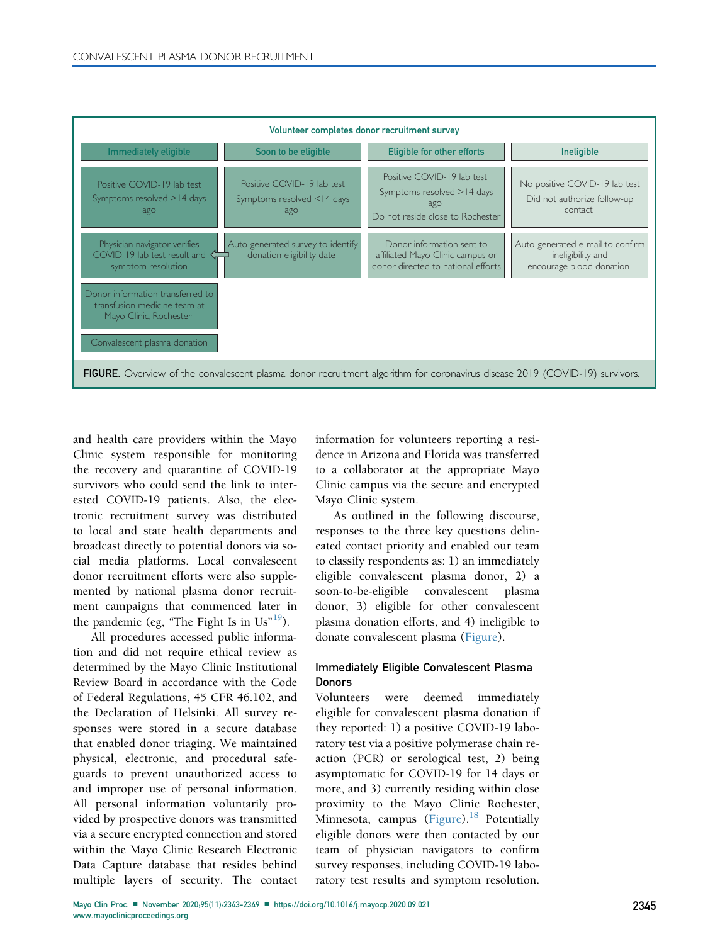<span id="page-2-0"></span>

| Volunteer completes donor recruitment survey                                                                               |                                                                 |                                                                                                     |                                                                                   |
|----------------------------------------------------------------------------------------------------------------------------|-----------------------------------------------------------------|-----------------------------------------------------------------------------------------------------|-----------------------------------------------------------------------------------|
| Immediately eligible                                                                                                       | Soon to be eligible                                             | <b>Eligible for other efforts</b>                                                                   | <b>Ineligible</b>                                                                 |
| Positive COVID-19 lab test<br>Symptoms resolved >14 days<br>ago                                                            | Positive COVID-19 lab test<br>Symptoms resolved <14 days<br>ago | Positive COVID-19 lab test<br>Symptoms resolved >14 days<br>ago<br>Do not reside close to Rochester | No positive COVID-19 lab test<br>Did not authorize follow-up<br>contact           |
| Physician navigator verifies<br>COVID-19 lab test result and $\subset$<br>symptom resolution                               | Auto-generated survey to identify<br>donation eligibility date  | Donor information sent to<br>affiliated Mayo Clinic campus or<br>donor directed to national efforts | Auto-generated e-mail to confirm<br>ineligibility and<br>encourage blood donation |
| Donor information transferred to<br>transfusion medicine team at<br>Mayo Clinic, Rochester                                 |                                                                 |                                                                                                     |                                                                                   |
| Convalescent plasma donation                                                                                               |                                                                 |                                                                                                     |                                                                                   |
| FIGURE. Overview of the convalescent plasma donor recruitment algorithm for coronavirus disease 2019 (COVID-19) survivors. |                                                                 |                                                                                                     |                                                                                   |

and health care providers within the Mayo Clinic system responsible for monitoring the recovery and quarantine of COVID-19 survivors who could send the link to interested COVID-19 patients. Also, the electronic recruitment survey was distributed to local and state health departments and broadcast directly to potential donors via social media platforms. Local convalescent donor recruitment efforts were also supplemented by national plasma donor recruitment campaigns that commenced later in the pandemic (eg, "The Fight Is in  $Us$ <sup>[19](#page-6-18)</sup>).

All procedures accessed public information and did not require ethical review as determined by the Mayo Clinic Institutional Review Board in accordance with the Code of Federal Regulations, 45 CFR 46.102, and the Declaration of Helsinki. All survey responses were stored in a secure database that enabled donor triaging. We maintained physical, electronic, and procedural safeguards to prevent unauthorized access to and improper use of personal information. All personal information voluntarily provided by prospective donors was transmitted via a secure encrypted connection and stored within the Mayo Clinic Research Electronic Data Capture database that resides behind multiple layers of security. The contact

information for volunteers reporting a residence in Arizona and Florida was transferred to a collaborator at the appropriate Mayo Clinic campus via the secure and encrypted Mayo Clinic system.

As outlined in the following discourse, responses to the three key questions delineated contact priority and enabled our team to classify respondents as: 1) an immediately eligible convalescent plasma donor, 2) a soon-to-be-eligible convalescent plasma donor, 3) eligible for other convalescent plasma donation efforts, and 4) ineligible to donate convalescent plasma [\(Figure\)](#page-2-0).

# Immediately Eligible Convalescent Plasma **Donors**

Volunteers were deemed immediately eligible for convalescent plasma donation if they reported: 1) a positive COVID-19 laboratory test via a positive polymerase chain reaction (PCR) or serological test, 2) being asymptomatic for COVID-19 for 14 days or more, and 3) currently residing within close proximity to the Mayo Clinic Rochester, Minnesota, campus ([Figure](#page-2-0)).<sup>[18](#page-6-17)</sup> Potentially eligible donors were then contacted by our team of physician navigators to confirm survey responses, including COVID-19 laboratory test results and symptom resolution.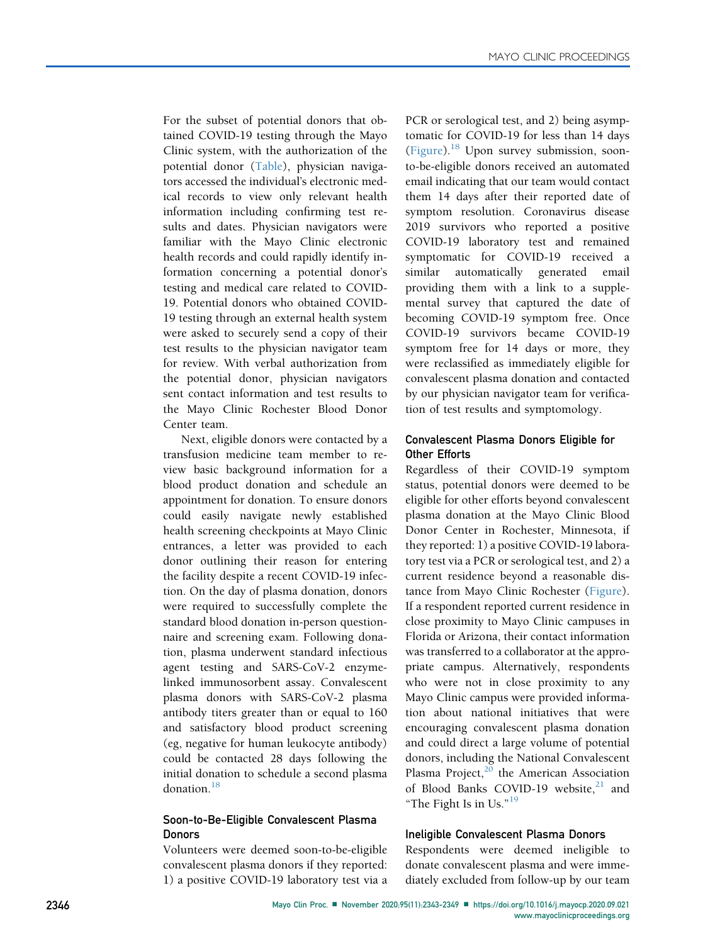For the subset of potential donors that obtained COVID-19 testing through the Mayo Clinic system, with the authorization of the potential donor [\(Table\)](#page-1-0), physician navigators accessed the individual's electronic medical records to view only relevant health information including confirming test results and dates. Physician navigators were familiar with the Mayo Clinic electronic health records and could rapidly identify information concerning a potential donor's testing and medical care related to COVID-19. Potential donors who obtained COVID-19 testing through an external health system were asked to securely send a copy of their test results to the physician navigator team for review. With verbal authorization from the potential donor, physician navigators sent contact information and test results to the Mayo Clinic Rochester Blood Donor Center team.

Next, eligible donors were contacted by a transfusion medicine team member to review basic background information for a blood product donation and schedule an appointment for donation. To ensure donors could easily navigate newly established health screening checkpoints at Mayo Clinic entrances, a letter was provided to each donor outlining their reason for entering the facility despite a recent COVID-19 infection. On the day of plasma donation, donors were required to successfully complete the standard blood donation in-person questionnaire and screening exam. Following donation, plasma underwent standard infectious agent testing and SARS-CoV-2 enzymelinked immunosorbent assay. Convalescent plasma donors with SARS-CoV-2 plasma antibody titers greater than or equal to 160 and satisfactory blood product screening (eg, negative for human leukocyte antibody) could be contacted 28 days following the initial donation to schedule a second plasma donation.<sup>[18](#page-6-17)</sup>

# Soon-to-Be-Eligible Convalescent Plasma Donors

Volunteers were deemed soon-to-be-eligible convalescent plasma donors if they reported: 1) a positive COVID-19 laboratory test via a PCR or serological test, and 2) being asymptomatic for COVID-19 for less than 14 days [\(Figure](#page-2-0)).<sup>18</sup> Upon survey submission, soonto-be-eligible donors received an automated email indicating that our team would contact them 14 days after their reported date of symptom resolution. Coronavirus disease 2019 survivors who reported a positive COVID-19 laboratory test and remained symptomatic for COVID-19 received a similar automatically generated email providing them with a link to a supplemental survey that captured the date of becoming COVID-19 symptom free. Once COVID-19 survivors became COVID-19 symptom free for 14 days or more, they were reclassified as immediately eligible for convalescent plasma donation and contacted by our physician navigator team for verification of test results and symptomology.

# Convalescent Plasma Donors Eligible for Other Efforts

Regardless of their COVID-19 symptom status, potential donors were deemed to be eligible for other efforts beyond convalescent plasma donation at the Mayo Clinic Blood Donor Center in Rochester, Minnesota, if they reported: 1) a positive COVID-19 laboratory test via a PCR or serological test, and 2) a current residence beyond a reasonable distance from Mayo Clinic Rochester [\(Figure\)](#page-2-0). If a respondent reported current residence in close proximity to Mayo Clinic campuses in Florida or Arizona, their contact information was transferred to a collaborator at the appropriate campus. Alternatively, respondents who were not in close proximity to any Mayo Clinic campus were provided information about national initiatives that were encouraging convalescent plasma donation and could direct a large volume of potential donors, including the National Convalescent Plasma Project, $20$  the American Association of Blood Banks COVID-19 website, $21$  and "The Fight Is in Us."<sup>[19](#page-6-18)</sup>

# Ineligible Convalescent Plasma Donors

Respondents were deemed ineligible to donate convalescent plasma and were immediately excluded from follow-up by our team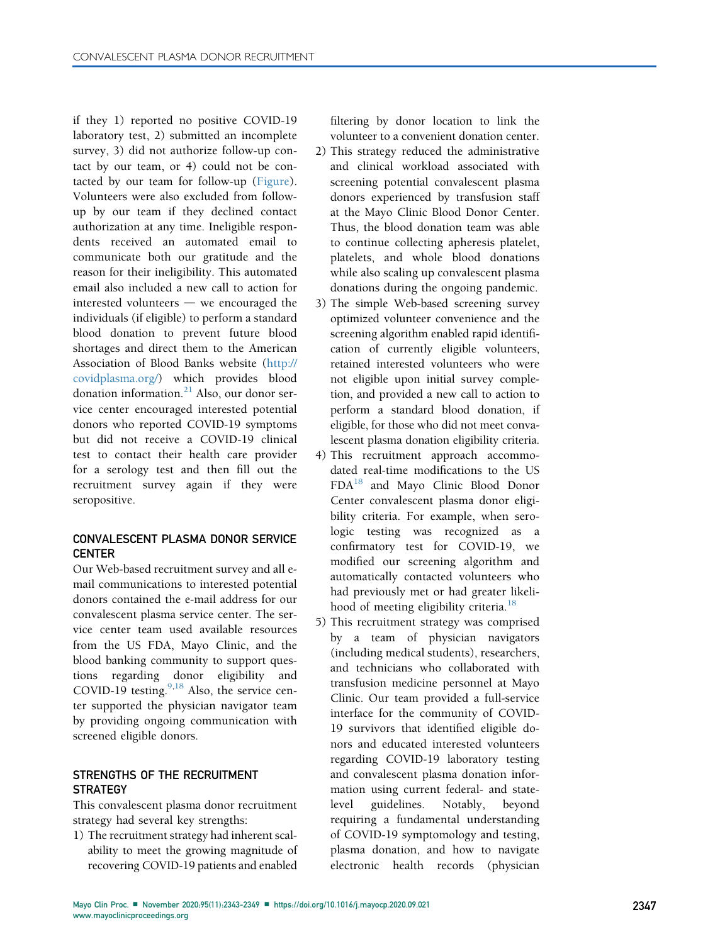if they 1) reported no positive COVID-19 laboratory test, 2) submitted an incomplete survey, 3) did not authorize follow-up contact by our team, or 4) could not be contacted by our team for follow-up ([Figure](#page-2-0)). Volunteers were also excluded from followup by our team if they declined contact authorization at any time. Ineligible respondents received an automated email to communicate both our gratitude and the reason for their ineligibility. This automated email also included a new call to action for interested volunteers  $-$  we encouraged the individuals (if eligible) to perform a standard blood donation to prevent future blood shortages and direct them to the American Association of Blood Banks website ([http://](http://covidplasma.org/) [covidplasma.org/](http://covidplasma.org/)) which provides blood donation information. $^{21}$  $^{21}$  $^{21}$  Also, our donor service center encouraged interested potential donors who reported COVID-19 symptoms but did not receive a COVID-19 clinical test to contact their health care provider for a serology test and then fill out the recruitment survey again if they were seropositive.

# CONVALESCENT PLASMA DONOR SERVICE CENTER

Our Web-based recruitment survey and all email communications to interested potential donors contained the e-mail address for our convalescent plasma service center. The service center team used available resources from the US FDA, Mayo Clinic, and the blood banking community to support questions regarding donor eligibility and COVID-1[9](#page-6-8) testing.<sup>9[,18](#page-6-17)</sup> Also, the service center supported the physician navigator team by providing ongoing communication with screened eligible donors.

# STRENGTHS OF THE RECRUITMENT **STRATEGY**

This convalescent plasma donor recruitment strategy had several key strengths:

1) The recruitment strategy had inherent scalability to meet the growing magnitude of recovering COVID-19 patients and enabled

filtering by donor location to link the volunteer to a convenient donation center.

- 2) This strategy reduced the administrative and clinical workload associated with screening potential convalescent plasma donors experienced by transfusion staff at the Mayo Clinic Blood Donor Center. Thus, the blood donation team was able to continue collecting apheresis platelet, platelets, and whole blood donations while also scaling up convalescent plasma donations during the ongoing pandemic.
- 3) The simple Web-based screening survey optimized volunteer convenience and the screening algorithm enabled rapid identification of currently eligible volunteers, retained interested volunteers who were not eligible upon initial survey completion, and provided a new call to action to perform a standard blood donation, if eligible, for those who did not meet convalescent plasma donation eligibility criteria.
- 4) This recruitment approach accommodated real-time modifications to the US FDA[18](#page-6-17) and Mayo Clinic Blood Donor Center convalescent plasma donor eligibility criteria. For example, when serologic testing was recognized as a confirmatory test for COVID-19, we modified our screening algorithm and automatically contacted volunteers who had previously met or had greater likeli-hood of meeting eligibility criteria.<sup>[18](#page-6-17)</sup>
- 5) This recruitment strategy was comprised by a team of physician navigators (including medical students), researchers, and technicians who collaborated with transfusion medicine personnel at Mayo Clinic. Our team provided a full-service interface for the community of COVID-19 survivors that identified eligible donors and educated interested volunteers regarding COVID-19 laboratory testing and convalescent plasma donation information using current federal- and statelevel guidelines. Notably, beyond requiring a fundamental understanding of COVID-19 symptomology and testing, plasma donation, and how to navigate electronic health records (physician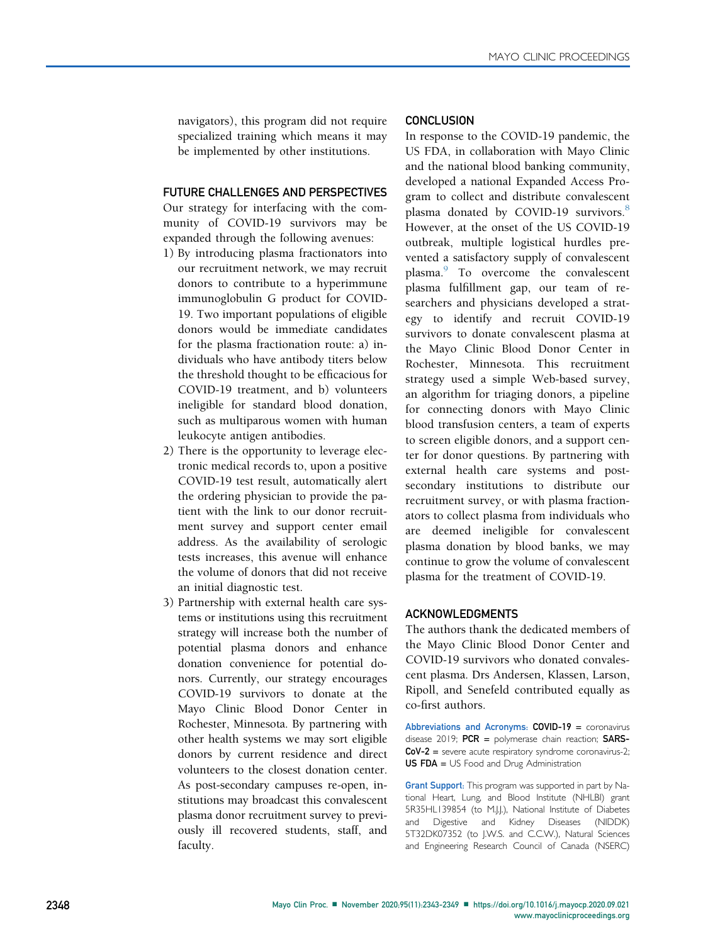navigators), this program did not require specialized training which means it may be implemented by other institutions.

### FUTURE CHALLENGES AND PERSPECTIVES

Our strategy for interfacing with the community of COVID-19 survivors may be expanded through the following avenues:

- 1) By introducing plasma fractionators into our recruitment network, we may recruit donors to contribute to a hyperimmune immunoglobulin G product for COVID-19. Two important populations of eligible donors would be immediate candidates for the plasma fractionation route: a) individuals who have antibody titers below the threshold thought to be efficacious for COVID-19 treatment, and b) volunteers ineligible for standard blood donation, such as multiparous women with human leukocyte antigen antibodies.
- 2) There is the opportunity to leverage electronic medical records to, upon a positive COVID-19 test result, automatically alert the ordering physician to provide the patient with the link to our donor recruitment survey and support center email address. As the availability of serologic tests increases, this avenue will enhance the volume of donors that did not receive an initial diagnostic test.
- 3) Partnership with external health care systems or institutions using this recruitment strategy will increase both the number of potential plasma donors and enhance donation convenience for potential donors. Currently, our strategy encourages COVID-19 survivors to donate at the Mayo Clinic Blood Donor Center in Rochester, Minnesota. By partnering with other health systems we may sort eligible donors by current residence and direct volunteers to the closest donation center. As post-secondary campuses re-open, institutions may broadcast this convalescent plasma donor recruitment survey to previously ill recovered students, staff, and faculty.

### **CONCLUSION**

In response to the COVID-19 pandemic, the US FDA, in collaboration with Mayo Clinic and the national blood banking community, developed a national Expanded Access Program to collect and distribute convalescent plasma donated by COVID-19 survivors.<sup>[8](#page-6-7)</sup> However, at the onset of the US COVID-19 outbreak, multiple logistical hurdles prevented a satisfactory supply of convalescent plasma.<sup>[9](#page-6-8)</sup> To overcome the convalescent plasma fulfillment gap, our team of researchers and physicians developed a strategy to identify and recruit COVID-19 survivors to donate convalescent plasma at the Mayo Clinic Blood Donor Center in Rochester, Minnesota. This recruitment strategy used a simple Web-based survey, an algorithm for triaging donors, a pipeline for connecting donors with Mayo Clinic blood transfusion centers, a team of experts to screen eligible donors, and a support center for donor questions. By partnering with external health care systems and postsecondary institutions to distribute our recruitment survey, or with plasma fractionators to collect plasma from individuals who are deemed ineligible for convalescent plasma donation by blood banks, we may continue to grow the volume of convalescent plasma for the treatment of COVID-19.

# ACKNOWLEDGMENTS

The authors thank the dedicated members of the Mayo Clinic Blood Donor Center and COVID-19 survivors who donated convalescent plasma. Drs Andersen, Klassen, Larson, Ripoll, and Senefeld contributed equally as co-first authors.

Abbreviations and Acronyms: COVID-19 = coronavirus disease 2019;  $PCR = polymerase chain reaction$ ;  $SARS-$ CoV-2 = severe acute respiratory syndrome coronavirus-2; US FDA = US Food and Drug Administration

Grant Support: This program was supported in part by National Heart, Lung, and Blood Institute (NHLBI) grant 5R35HL139854 (to M.J.J.), National Institute of Diabetes and Digestive and Kidney Diseases (NIDDK) 5T32DK07352 (to J.W.S. and C.C.W.), Natural Sciences and Engineering Research Council of Canada (NSERC)